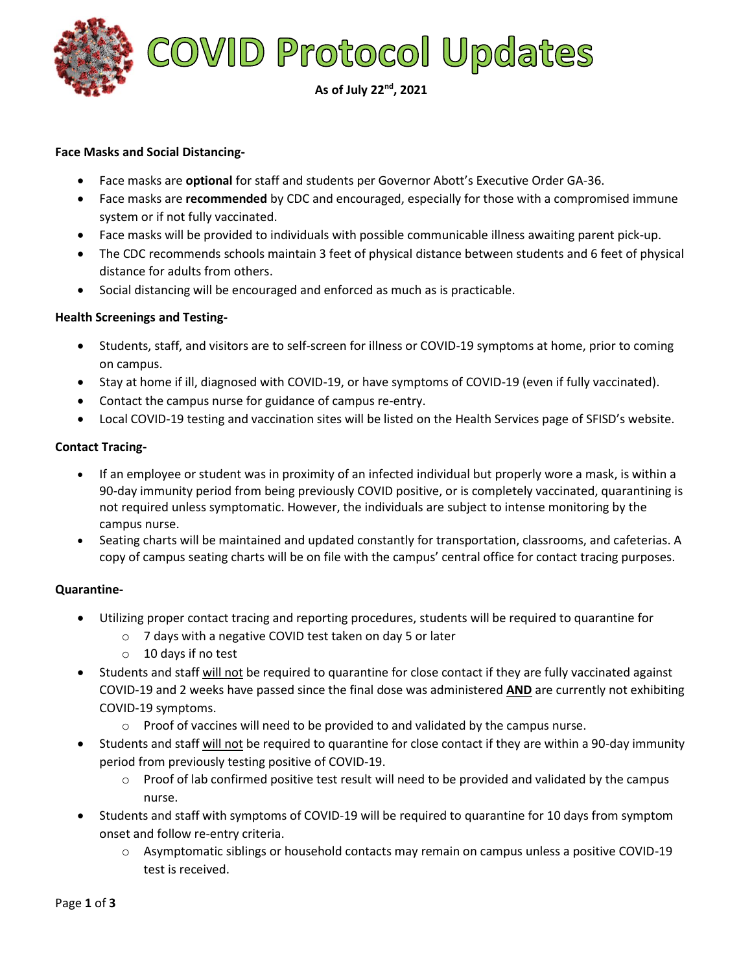COVID Protocol Updates

**As of July 22nd, 2021**

### **Face Masks and Social Distancing-**

- Face masks are **optional** for staff and students per Governor Abott's Executive Order GA-36.
- Face masks are **recommended** by CDC and encouraged, especially for those with a compromised immune system or if not fully vaccinated.
- Face masks will be provided to individuals with possible communicable illness awaiting parent pick-up.
- The CDC recommends schools maintain 3 feet of physical distance between students and 6 feet of physical distance for adults from others.
- Social distancing will be encouraged and enforced as much as is practicable.

### **Health Screenings and Testing-**

- Students, staff, and visitors are to self-screen for illness or COVID-19 symptoms at home, prior to coming on campus.
- Stay at home if ill, diagnosed with COVID-19, or have symptoms of COVID-19 (even if fully vaccinated).
- Contact the campus nurse for guidance of campus re-entry.
- Local COVID-19 testing and vaccination sites will be listed on the Health Services page of SFISD's website.

### **Contact Tracing-**

- If an employee or student was in proximity of an infected individual but properly wore a mask, is within a 90-day immunity period from being previously COVID positive, or is completely vaccinated, quarantining is not required unless symptomatic. However, the individuals are subject to intense monitoring by the campus nurse.
- Seating charts will be maintained and updated constantly for transportation, classrooms, and cafeterias. A copy of campus seating charts will be on file with the campus' central office for contact tracing purposes.

### **Quarantine-**

- Utilizing proper contact tracing and reporting procedures, students will be required to quarantine for
	- o 7 days with a negative COVID test taken on day 5 or later
	- o 10 days if no test
- Students and staff will not be required to quarantine for close contact if they are fully vaccinated against COVID-19 and 2 weeks have passed since the final dose was administered **AND** are currently not exhibiting COVID-19 symptoms.
	- $\circ$  Proof of vaccines will need to be provided to and validated by the campus nurse.
- Students and staff will not be required to quarantine for close contact if they are within a 90-day immunity period from previously testing positive of COVID-19.
	- $\circ$  Proof of lab confirmed positive test result will need to be provided and validated by the campus nurse.
- Students and staff with symptoms of COVID-19 will be required to quarantine for 10 days from symptom onset and follow re-entry criteria.
	- $\circ$  Asymptomatic siblings or household contacts may remain on campus unless a positive COVID-19 test is received.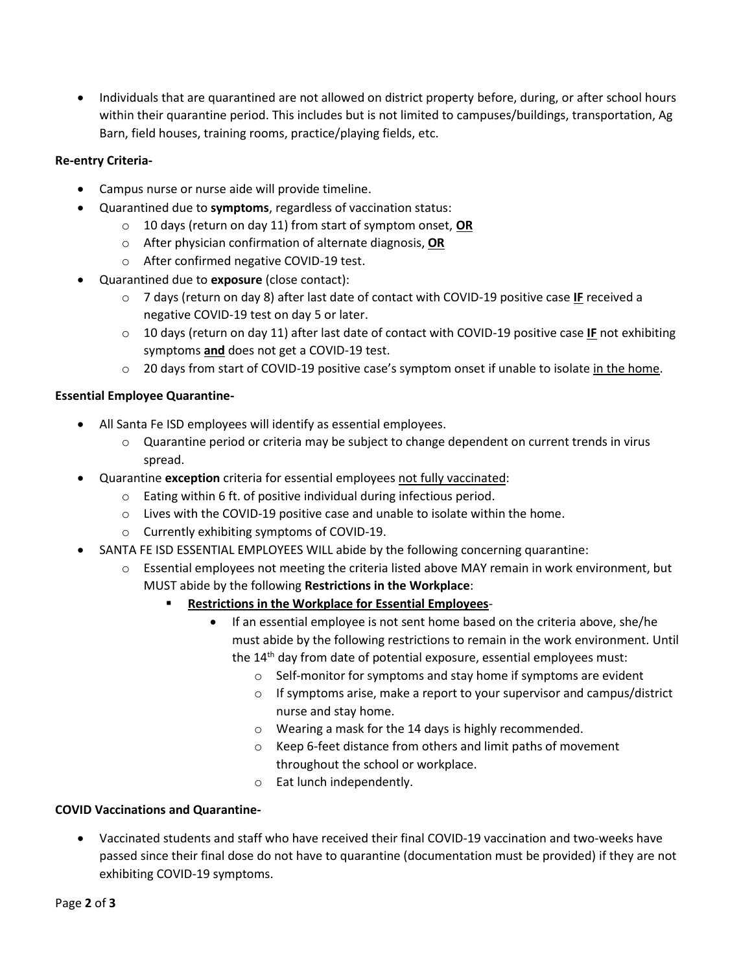• Individuals that are quarantined are not allowed on district property before, during, or after school hours within their quarantine period. This includes but is not limited to campuses/buildings, transportation, Ag Barn, field houses, training rooms, practice/playing fields, etc.

# **Re-entry Criteria-**

- Campus nurse or nurse aide will provide timeline.
- Quarantined due to **symptoms**, regardless of vaccination status:
	- o 10 days (return on day 11) from start of symptom onset, **OR**
	- o After physician confirmation of alternate diagnosis, **OR**
	- o After confirmed negative COVID-19 test.
- Quarantined due to **exposure** (close contact):
	- o 7 days (return on day 8) after last date of contact with COVID-19 positive case **IF** received a negative COVID-19 test on day 5 or later.
	- o 10 days (return on day 11) after last date of contact with COVID-19 positive case **IF** not exhibiting symptoms **and** does not get a COVID-19 test.
	- $\circ$  20 days from start of COVID-19 positive case's symptom onset if unable to isolate in the home.

### **Essential Employee Quarantine-**

- All Santa Fe ISD employees will identify as essential employees.
	- o Quarantine period or criteria may be subject to change dependent on current trends in virus spread.
- Quarantine **exception** criteria for essential employees not fully vaccinated:
	- o Eating within 6 ft. of positive individual during infectious period.
	- $\circ$  Lives with the COVID-19 positive case and unable to isolate within the home.
	- o Currently exhibiting symptoms of COVID-19.
- SANTA FE ISD ESSENTIAL EMPLOYEES WILL abide by the following concerning quarantine:
	- o Essential employees not meeting the criteria listed above MAY remain in work environment, but MUST abide by the following **Restrictions in the Workplace**:
		- **Restrictions in the Workplace for Essential Employees**
			- If an essential employee is not sent home based on the criteria above, she/he must abide by the following restrictions to remain in the work environment. Until the  $14<sup>th</sup>$  day from date of potential exposure, essential employees must:
				- o Self-monitor for symptoms and stay home if symptoms are evident
				- o If symptoms arise, make a report to your supervisor and campus/district nurse and stay home.
				- o Wearing a mask for the 14 days is highly recommended.
				- o Keep 6-feet distance from others and limit paths of movement throughout the school or workplace.
				- o Eat lunch independently.

### **COVID Vaccinations and Quarantine-**

• Vaccinated students and staff who have received their final COVID-19 vaccination and two-weeks have passed since their final dose do not have to quarantine (documentation must be provided) if they are not exhibiting COVID-19 symptoms.